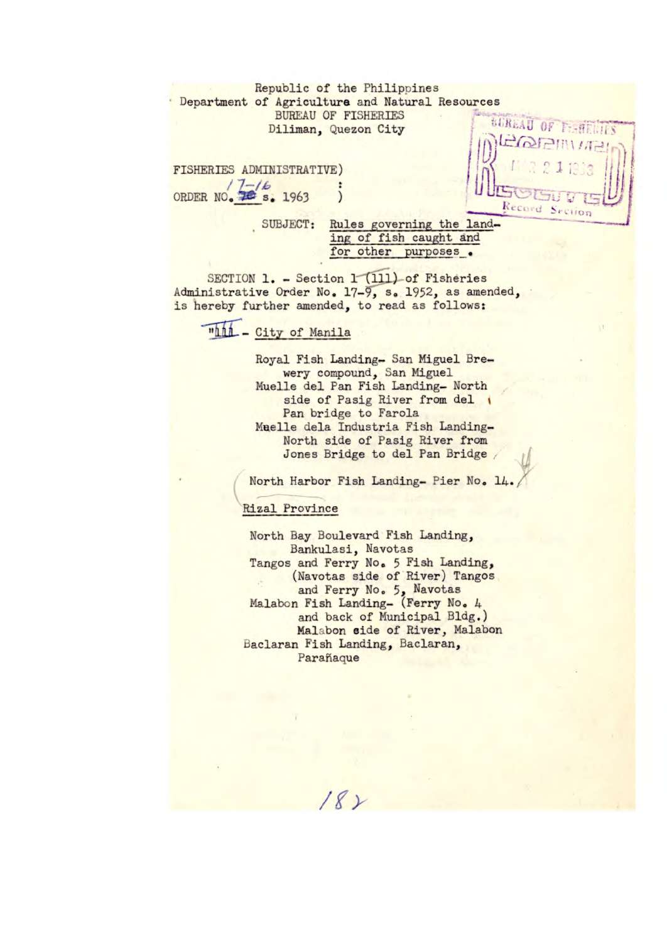Republic of the Philippines Department of Agriculture and Natural Resources BUREAU OF FISHERIES Diliman, Quezon City

**I i** FISHERIES ADMINISTRATIVE) ORDER NO.  $\frac{7}{26}$  **s**. 1963

**SUREAU OF** Record Section

SUBJECT: Rules governing the land-

ing of fish caught and for other purposes.

SECTION 1. - Section 1 (111) of Fisheries Administrative Order No. 17-9, s. 1952, as amended, is hereby further amended, to read as follows:

## "hh - City of Manila

Royal Fish Landing- San Miguel Brewery compound, San Miguel Muelle del Pan Fish Landing- North side of Pasig River from del 1 Pan bridge to Farola Mel1e dela Industria Fish Landing-North side of Pasig River from Jones Bridge to del Pan Bridge

North Harbor Fish Landing- Pier No. 14.

## Rizal\_Province

North Bay Boulevard Fish Landing, Bankulasi, Navotas Tangos and Ferry No. *5* Fish Landing, (Navotas side of River) Tangos and Ferry No. *5,* Navotas Malabon Fish Landing- (Ferry No. 4 and back of Municipal Bldg.) Malabon side of River, Malabon Baclaran Fish Landing, Baclaran, Parañaque

 $182$